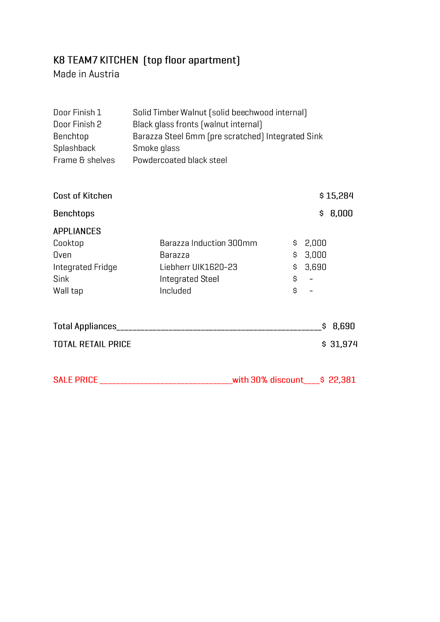## K8 TEAM7 KITCHEN [top floor apartment]

Made in Austria

| Door Finish 1          | Solid Timber Walnut [solid beechwood internal]    |          |
|------------------------|---------------------------------------------------|----------|
| Door Finish 2          | Black glass fronts (walnut internal)              |          |
| Benchtop               | Barazza Steel 6mm (pre scratched) Integrated Sink |          |
| Splashback             | Smoke glass                                       |          |
| Frame & shelves        | Powdercoated black steel                          |          |
|                        |                                                   |          |
| <b>Cost of Kitchen</b> |                                                   | \$15,284 |

| <b>Benchtops</b>          |                         |     | \$     | 8,000    |
|---------------------------|-------------------------|-----|--------|----------|
| <b>APPLIANCES</b>         |                         |     |        |          |
| Cooktop                   | Barazza Induction 300mm | \$. | -2,000 |          |
| Oven                      | Barazza                 | \$  | 3,000  |          |
| Integrated Fridge         | Liebherr UIK1620-23     | \$  | 3,690  |          |
| Sink                      | <b>Integrated Steel</b> | \$  |        |          |
| Wall tap                  | Included                | \$  |        |          |
| Total Appliances___       |                         |     | \$     | 8,690    |
| <b>TOTAL RETAIL PRICE</b> |                         |     |        | \$31,974 |
|                           |                         |     |        |          |

SALE PRICE \_\_\_\_\_\_\_\_\_\_\_\_\_\_\_\_\_\_\_\_\_\_\_\_\_\_\_\_\_\_\_\_\_with 30% discount\_\_\_\_\$ 22,381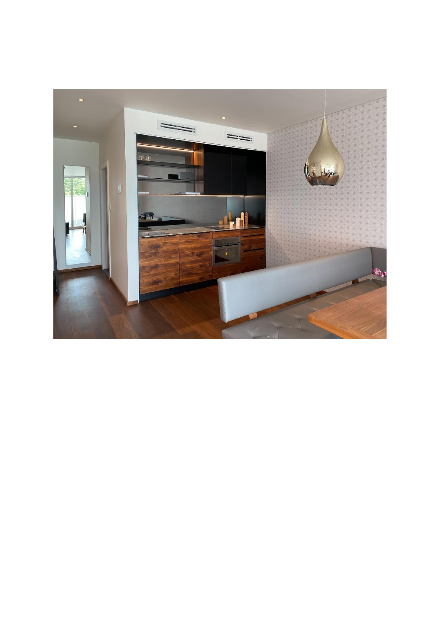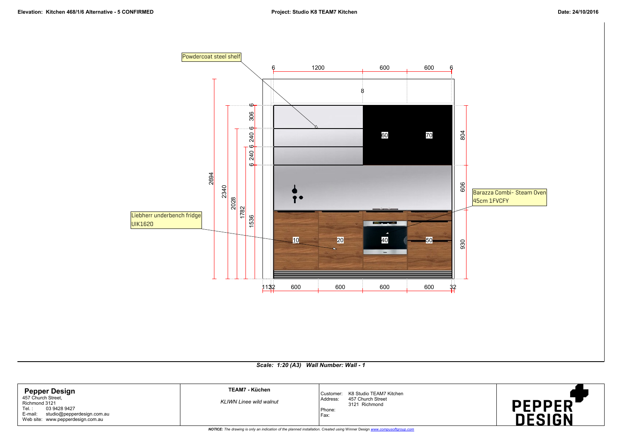*Scale: 1:20 (A3) Wall Number: Wall - 1*

## **Pepper Design**

457 Church Street, Richmond 3121 Tel.: 03 9428 9427 E-mail: studio@pepperdesign.com.au Web site: www.pepperdesign.com.au

**TEAM7 - Küchen**

*KLIWN Linee wild walnut*

Barazza Combi- Steam Oven 45cm 1FVCFY

Customer: K8 Studio TEAM7 Kitchen Address: 457 Church Street 3121 Richmond

Phone: Fax:

*NOTICE: The drawing is only an indication of the planned installation. Created using* Winner Design *www.compusoftgroup.com*

## **PEPPERT**